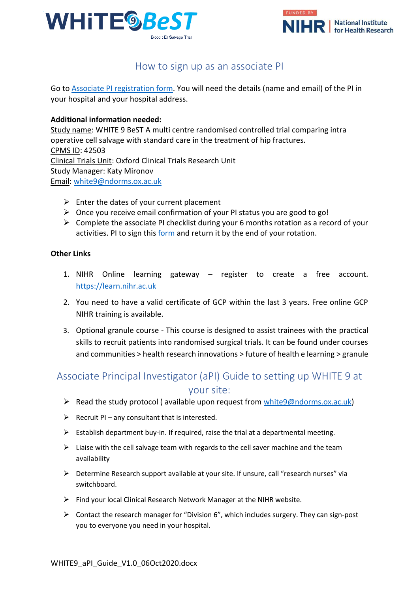



## How to sign up as an associate PI

Go t[o Associate PI registration form.](https://docs.google.com/forms/d/e/1FAIpQLScv5XTwVbbRNXhru1jDU70u1bE8xw3UaHW2XCoYmQ4FIXgcvQ/viewform) You will need the details (name and email) of the PI in your hospital and your hospital address.

## **Additional information needed:**

Study name: WHITE 9 BeST A multi centre randomised controlled trial comparing intra operative cell salvage with standard care in the treatment of hip fractures. CPMS ID: 42503 Clinical Trials Unit: Oxford Clinical Trials Research Unit Study Manager: Katy Mironov Email: [white9@ndorms.ox.ac.uk](mailto:white9@ndorms.ox.ac.uk)

- $\triangleright$  Enter the dates of your current placement
- $\triangleright$  Once you receive email confirmation of your PI status you are good to go!
- $\triangleright$  Complete the associate PI checklist during your 6 months rotation as a record of your activities. PI to sign this [form](https://docs.google.com/document/d/12GQC3qLWizrAJj4wWlZw5oc0UCYdhPvR86TcQIr0zBs/edit) and return it by the end of your rotation.

## **Other Links**

- 1. NIHR Online learning gateway register to create a free account. [https://learn.nihr.ac.uk](https://learn.nihr.ac.uk/)
- 2. You need to have a valid certificate of GCP within the last 3 years. Free online GCP NIHR training is available.
- 3. Optional granule course This course is designed to assist trainees with the practical skills to recruit patients into randomised surgical trials. It can be found under courses and communities > health research innovations > future of health e learning > granule

## Associate Principal Investigator (aPI) Guide to setting up WHITE 9 at your site:

- Read the study protocol (available upon request from  $white9@ndorms.ox.ac.uk$ )
- $\triangleright$  Recruit PI any consultant that is interested.
- $\triangleright$  Establish department buy-in. If required, raise the trial at a departmental meeting.
- $\triangleright$  Liaise with the cell salvage team with regards to the cell saver machine and the team availability
- $\triangleright$  Determine Research support available at your site. If unsure, call "research nurses" via switchboard.
- $\triangleright$  Find your local Clinical Research Network Manager at the NIHR website.
- $\triangleright$  Contact the research manager for "Division 6", which includes surgery. They can sign-post you to everyone you need in your hospital.